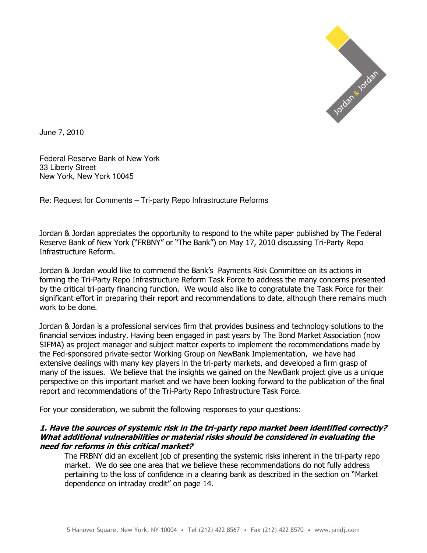

June 7, 2010

Federal Reserve Bank of New York 33 Liberty Street New York, New York 10045

Re: Request for Comments – Tri-party Repo Infrastructure Reforms

Jordan & Jordan appreciates the opportunity to respond to the white paper published by The Federal Reserve Bank of New York ("FRBNY" or "The Bank") on May 17, 2010 discussing Tri-Party Repo Infrastructure Reform.

Jordan & Jordan would like to commend the Bank's Payments Risk Committee on its actions in forming the Tri-Party Repo Infrastructure Reform Task Force to address the many concerns presented by the critical tri-party financing function. We would also like to congratulate the Task Force for their significant effort in preparing their report and recommendations to date, although there remains much work to be done.

Jordan & Jordan is a professional services firm that provides business and technology solutions to the financial services industry. Having been engaged in past years by The Bond Market Association (now SIFMA) as project manager and subject matter experts to implement the recommendations made by the Fed-sponsored private-sector Working Group on NewBank Implementation, we have had extensive dealings with many key players in the tri-party markets, and developed a firm grasp of many of the issues. We believe that the insights we gained on the NewBank project give us a unique perspective on this important market and we have been looking forward to the publication of the final report and recommendations of the Tri-Party Repo Infrastructure Task Force.

For your consideration, we submit the following responses to your questions:

### 1. Have the sources of systemic risk in the tri-party repo market been identified correctly? What additional vulnerabilities or material risks should be considered in evaluating the need for reforms in this critical market?

The FRBNY did an excellent job of presenting the systemic risks inherent in the tri-party repo market. We do see one area that we believe these recommendations do not fully address pertaining to the loss of confidence in a clearing bank as described in the section on "Market dependence on intraday credit" on page 14.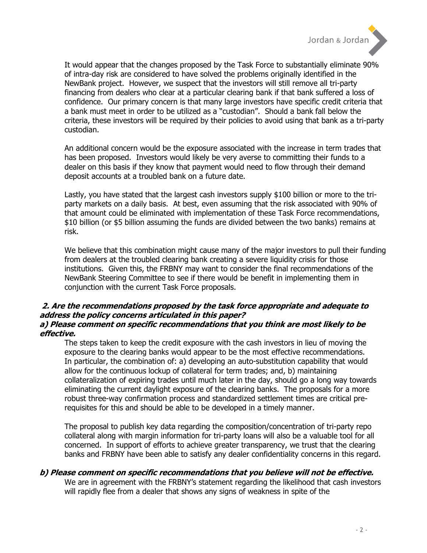

It would appear that the changes proposed by the Task Force to substantially eliminate 90% of intra-day risk are considered to have solved the problems originally identified in the NewBank project. However, we suspect that the investors will still remove all tri-party financing from dealers who clear at a particular clearing bank if that bank suffered a loss of confidence. Our primary concern is that many large investors have specific credit criteria that a bank must meet in order to be utilized as a "custodian". Should a bank fall below the criteria, these investors will be required by their policies to avoid using that bank as a tri-party custodian.

An additional concern would be the exposure associated with the increase in term trades that has been proposed. Investors would likely be very averse to committing their funds to a dealer on this basis if they know that payment would need to flow through their demand deposit accounts at a troubled bank on a future date.

Lastly, you have stated that the largest cash investors supply \$100 billion or more to the triparty markets on a daily basis. At best, even assuming that the risk associated with 90% of that amount could be eliminated with implementation of these Task Force recommendations, \$10 billion (or \$5 billion assuming the funds are divided between the two banks) remains at risk.

We believe that this combination might cause many of the major investors to pull their funding from dealers at the troubled clearing bank creating a severe liquidity crisis for those institutions. Given this, the FRBNY may want to consider the final recommendations of the NewBank Steering Committee to see if there would be benefit in implementing them in conjunction with the current Task Force proposals.

### 2. Are the recommendations proposed by the task force appropriate and adequate to address the policy concerns articulated in this paper? a) Please comment on specific recommendations that you think are most likely to be effective.

The steps taken to keep the credit exposure with the cash investors in lieu of moving the exposure to the clearing banks would appear to be the most effective recommendations. In particular, the combination of: a) developing an auto-substitution capability that would allow for the continuous lockup of collateral for term trades; and, b) maintaining collateralization of expiring trades until much later in the day, should go a long way towards eliminating the current daylight exposure of the clearing banks. The proposals for a more robust three-way confirmation process and standardized settlement times are critical prerequisites for this and should be able to be developed in a timely manner.

The proposal to publish key data regarding the composition/concentration of tri-party repo collateral along with margin information for tri-party loans will also be a valuable tool for all concerned. In support of efforts to achieve greater transparency, we trust that the clearing banks and FRBNY have been able to satisfy any dealer confidentiality concerns in this regard.

#### b) Please comment on specific recommendations that you believe will not be effective.

We are in agreement with the FRBNY's statement regarding the likelihood that cash investors will rapidly flee from a dealer that shows any signs of weakness in spite of the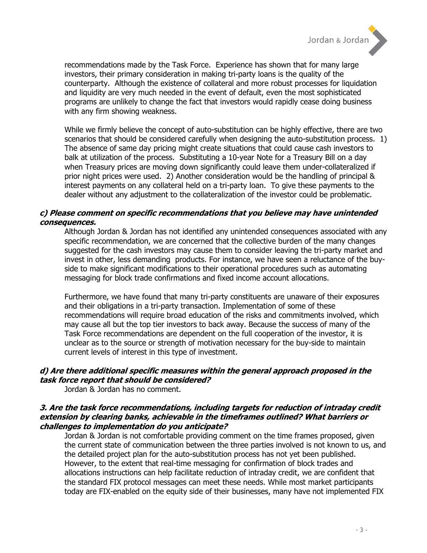

recommendations made by the Task Force. Experience has shown that for many large investors, their primary consideration in making tri-party loans is the quality of the counterparty. Although the existence of collateral and more robust processes for liquidation and liquidity are very much needed in the event of default, even the most sophisticated programs are unlikely to change the fact that investors would rapidly cease doing business with any firm showing weakness.

While we firmly believe the concept of auto-substitution can be highly effective, there are two scenarios that should be considered carefully when designing the auto-substitution process. 1) The absence of same day pricing might create situations that could cause cash investors to balk at utilization of the process. Substituting a 10-year Note for a Treasury Bill on a day when Treasury prices are moving down significantly could leave them under-collateralized if prior night prices were used. 2) Another consideration would be the handling of principal & interest payments on any collateral held on a tri-party loan. To give these payments to the dealer without any adjustment to the collateralization of the investor could be problematic.

## c) Please comment on specific recommendations that you believe may have unintended consequences.

Although Jordan & Jordan has not identified any unintended consequences associated with any specific recommendation, we are concerned that the collective burden of the many changes suggested for the cash investors may cause them to consider leaving the tri-party market and invest in other, less demanding products. For instance, we have seen a reluctance of the buyside to make significant modifications to their operational procedures such as automating messaging for block trade confirmations and fixed income account allocations.

Furthermore, we have found that many tri-party constituents are unaware of their exposures and their obligations in a tri-party transaction. Implementation of some of these recommendations will require broad education of the risks and commitments involved, which may cause all but the top tier investors to back away. Because the success of many of the Task Force recommendations are dependent on the full cooperation of the investor, it is unclear as to the source or strength of motivation necessary for the buy-side to maintain current levels of interest in this type of investment.

## d) Are there additional specific measures within the general approach proposed in the task force report that should be considered?

Jordan & Jordan has no comment.

### 3. Are the task force recommendations, including targets for reduction of intraday credit extension by clearing banks, achievable in the timeframes outlined? What barriers or challenges to implementation do you anticipate?

Jordan & Jordan is not comfortable providing comment on the time frames proposed, given the current state of communication between the three parties involved is not known to us, and the detailed project plan for the auto-substitution process has not yet been published. However, to the extent that real-time messaging for confirmation of block trades and allocations instructions can help facilitate reduction of intraday credit, we are confident that the standard FIX protocol messages can meet these needs. While most market participants today are FIX-enabled on the equity side of their businesses, many have not implemented FIX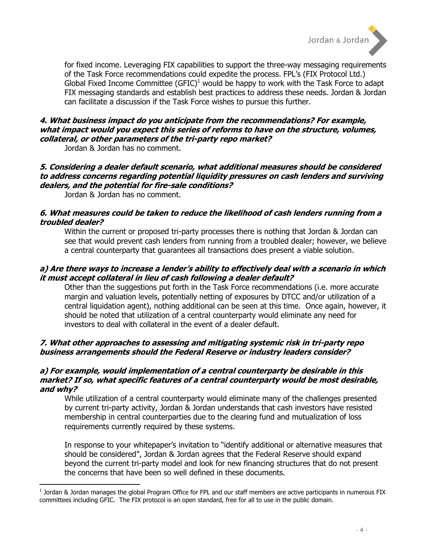

for fixed income. Leveraging FIX capabilities to support the three-way messaging requirements of the Task Force recommendations could expedite the process. FPL's (FIX Protocol Ltd.) Global Fixed Income Committee (GFIC)<sup>1</sup> would be happy to work with the Task Force to adapt FIX messaging standards and establish best practices to address these needs. Jordan & Jordan can facilitate a discussion if the Task Force wishes to pursue this further.

# 4. What business impact do you anticipate from the recommendations? For example, what impact would you expect this series of reforms to have on the structure, volumes, collateral, or other parameters of the tri-party repo market?

Jordan & Jordan has no comment.

# 5. Considering a dealer default scenario, what additional measures should be considered to address concerns regarding potential liquidity pressures on cash lenders and surviving dealers, and the potential for fire-sale conditions?

Jordan & Jordan has no comment.

l

## 6. What measures could be taken to reduce the likelihood of cash lenders running from a troubled dealer?

Within the current or proposed tri-party processes there is nothing that Jordan & Jordan can see that would prevent cash lenders from running from a troubled dealer; however, we believe a central counterparty that guarantees all transactions does present a viable solution.

# a) Are there ways to increase a lender's ability to effectively deal with a scenario in which it must accept collateral in lieu of cash following a dealer default?

Other than the suggestions put forth in the Task Force recommendations (i.e. more accurate margin and valuation levels, potentially netting of exposures by DTCC and/or utilization of a central liquidation agent), nothing additional can be seen at this time. Once again, however, it should be noted that utilization of a central counterparty would eliminate any need for investors to deal with collateral in the event of a dealer default.

# 7. What other approaches to assessing and mitigating systemic risk in tri-party repo business arrangements should the Federal Reserve or industry leaders consider?

# a) For example, would implementation of a central counterparty be desirable in this market? If so, what specific features of a central counterparty would be most desirable, and why?

While utilization of a central counterparty would eliminate many of the challenges presented by current tri-party activity, Jordan & Jordan understands that cash investors have resisted membership in central counterparties due to the clearing fund and mutualization of loss requirements currently required by these systems.

In response to your whitepaper's invitation to "identify additional or alternative measures that should be considered", Jordan & Jordan agrees that the Federal Reserve should expand beyond the current tri-party model and look for new financing structures that do not present the concerns that have been so well defined in these documents.

<sup>&</sup>lt;sup>1</sup> Jordan & Jordan manages the global Program Office for FPL and our staff members are active participants in numerous FIX committees including GFIC. The FIX protocol is an open standard, free for all to use in the public domain.